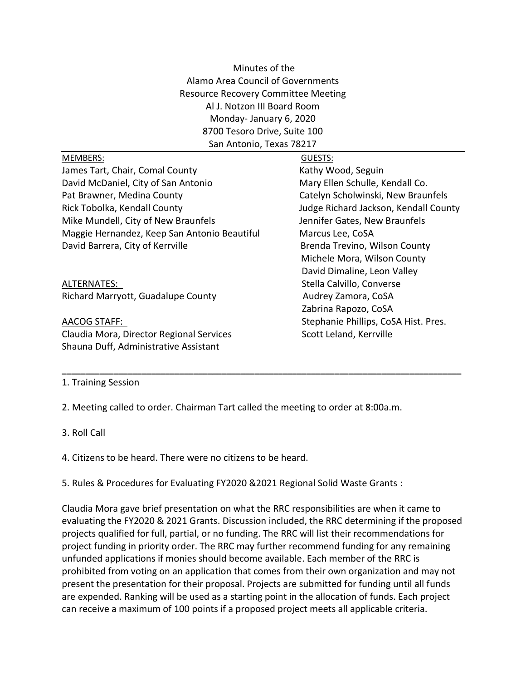Minutes of the Alamo Area Council of Governments Resource Recovery Committee Meeting Al J. Notzon III Board Room Monday- January 6, 2020 8700 Tesoro Drive, Suite 100 San Antonio, Texas 78217

| <b>MEMBERS:</b>                              | GUESTS:                               |
|----------------------------------------------|---------------------------------------|
| James Tart, Chair, Comal County              | Kathy Wood, Seguin                    |
| David McDaniel, City of San Antonio          | Mary Ellen Schulle, Kendall Co.       |
| Pat Brawner, Medina County                   | Catelyn Scholwinski, New Braunfels    |
| Rick Tobolka, Kendall County                 | Judge Richard Jackson, Kendall County |
| Mike Mundell, City of New Braunfels          | Jennifer Gates, New Braunfels         |
| Maggie Hernandez, Keep San Antonio Beautiful | Marcus Lee, CoSA                      |
| David Barrera, City of Kerrville             | Brenda Trevino, Wilson County         |
|                                              | Michele Mora, Wilson County           |
|                                              | David Dimaline, Leon Valley           |
| ALTERNATES:                                  | Stella Calvillo, Converse             |
| Richard Marryott, Guadalupe County           | Audrey Zamora, CoSA                   |
|                                              | Zabrina Rapozo, CoSA                  |
| AACOG STAFF:                                 | Stephanie Phillips, CoSA Hist. Pres.  |
| Claudia Mora, Director Regional Services     | Scott Leland, Kerrville               |
| Shauna Duff, Administrative Assistant        |                                       |

**\_\_\_\_\_\_\_\_\_\_\_\_\_\_\_\_\_\_\_\_\_\_\_\_\_\_\_\_\_\_\_\_\_\_\_\_\_\_\_\_\_\_\_\_\_\_\_\_\_\_\_\_\_\_\_\_\_\_\_\_\_\_\_\_\_\_\_\_\_\_\_\_\_\_\_\_\_\_\_\_\_\_\_\_\_**

## 1. Training Session

2. Meeting called to order. Chairman Tart called the meeting to order at 8:00a.m.

3. Roll Call

4. Citizens to be heard. There were no citizens to be heard.

5. Rules & Procedures for Evaluating FY2020 &2021 Regional Solid Waste Grants :

Claudia Mora gave brief presentation on what the RRC responsibilities are when it came to evaluating the FY2020 & 2021 Grants. Discussion included, the RRC determining if the proposed projects qualified for full, partial, or no funding. The RRC will list their recommendations for project funding in priority order. The RRC may further recommend funding for any remaining unfunded applications if monies should become available. Each member of the RRC is prohibited from voting on an application that comes from their own organization and may not present the presentation for their proposal. Projects are submitted for funding until all funds are expended. Ranking will be used as a starting point in the allocation of funds. Each project can receive a maximum of 100 points if a proposed project meets all applicable criteria.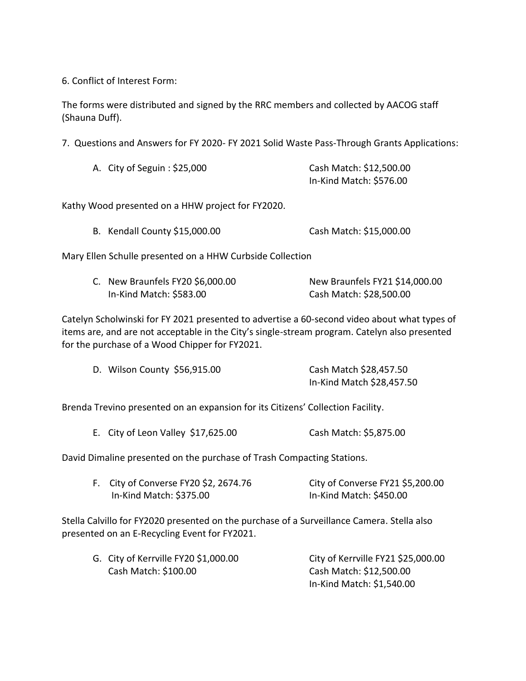6. Conflict of Interest Form:

The forms were distributed and signed by the RRC members and collected by AACOG staff (Shauna Duff).

7. Questions and Answers for FY 2020- FY 2021 Solid Waste Pass-Through Grants Applications:

| A. City of Seguin : \$25,000 | Cash Match: \$12,500.00 |
|------------------------------|-------------------------|
|                              | In-Kind Match: \$576.00 |

Kathy Wood presented on a HHW project for FY2020.

Mary Ellen Schulle presented on a HHW Curbside Collection

| C. New Braunfels FY20 \$6,000.00 |                         | New Braunfels FY21 \$14,000.00 |  |  |
|----------------------------------|-------------------------|--------------------------------|--|--|
|                                  | In-Kind Match: \$583.00 | Cash Match: \$28,500.00        |  |  |

Catelyn Scholwinski for FY 2021 presented to advertise a 60-second video about what types of items are, and are not acceptable in the City's single-stream program. Catelyn also presented for the purchase of a Wood Chipper for FY2021.

| D. Wilson County \$56,915.00 | Cash Match \$28,457.50    |
|------------------------------|---------------------------|
|                              | In-Kind Match \$28,457.50 |

Brenda Trevino presented on an expansion for its Citizens' Collection Facility.

E. City of Leon Valley \$17,625.00 Cash Match: \$5,875.00

David Dimaline presented on the purchase of Trash Compacting Stations.

| F. City of Converse FY20 \$2, 2674.76 | City of Converse FY21 \$5,200.00 |
|---------------------------------------|----------------------------------|
| In-Kind Match: \$375.00               | In-Kind Match: \$450.00          |

Stella Calvillo for FY2020 presented on the purchase of a Surveillance Camera. Stella also presented on an E-Recycling Event for FY2021.

| G. City of Kerrville FY20 \$1,000.00 | City of Kerrville FY21 \$25,000.00 |
|--------------------------------------|------------------------------------|
| Cash Match: \$100.00                 | Cash Match: \$12,500.00            |
|                                      | In-Kind Match: \$1,540.00          |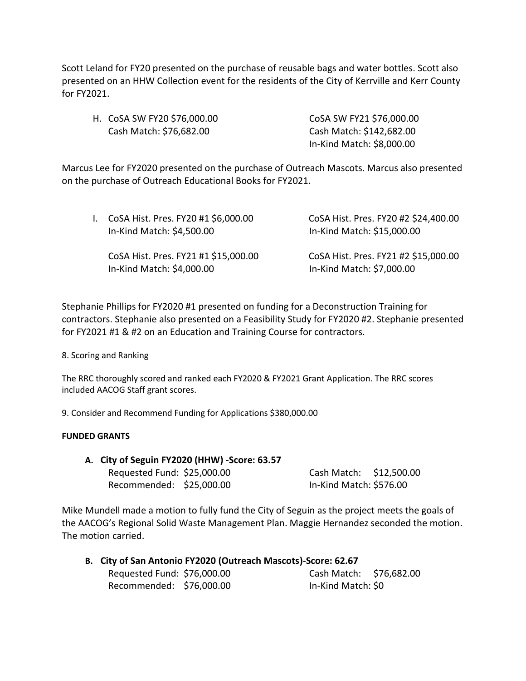Scott Leland for FY20 presented on the purchase of reusable bags and water bottles. Scott also presented on an HHW Collection event for the residents of the City of Kerrville and Kerr County for FY2021.

| H. CoSA SW FY20 \$76,000.00 | CoSA SW FY21 \$76,000.00  |
|-----------------------------|---------------------------|
| Cash Match: \$76,682.00     | Cash Match: \$142,682.00  |
|                             | In-Kind Match: \$8,000.00 |

Marcus Lee for FY2020 presented on the purchase of Outreach Mascots. Marcus also presented on the purchase of Outreach Educational Books for FY2021.

| $\mathbf{L}$ | CoSA Hist. Pres. FY20 #1 \$6,000.00<br>In-Kind Match: \$4,500.00  | CoSA Hist. Pres. FY20 #2 \$24,400.00<br>In-Kind Match: \$15,000.00 |
|--------------|-------------------------------------------------------------------|--------------------------------------------------------------------|
|              | CoSA Hist. Pres. FY21 #1 \$15,000.00<br>In-Kind Match: \$4,000.00 | CoSA Hist. Pres. FY21 #2 \$15,000.00<br>In-Kind Match: \$7,000.00  |

Stephanie Phillips for FY2020 #1 presented on funding for a Deconstruction Training for contractors. Stephanie also presented on a Feasibility Study for FY2020 #2. Stephanie presented for FY2021 #1 & #2 on an Education and Training Course for contractors.

8. Scoring and Ranking

The RRC thoroughly scored and ranked each FY2020 & FY2021 Grant Application. The RRC scores included AACOG Staff grant scores.

9. Consider and Recommend Funding for Applications \$380,000.00

## **FUNDED GRANTS**

**A. City of Seguin FY2020 (HHW) -Score: 63.57** Requested Fund: \$25,000.00 Cash Match: \$12,500.00

Recommended: \$25,000.00 In-Kind Match: \$576.00

Mike Mundell made a motion to fully fund the City of Seguin as the project meets the goals of the AACOG's Regional Solid Waste Management Plan. Maggie Hernandez seconded the motion. The motion carried.

| B. City of San Antonio FY2020 (Outreach Mascots)-Score: 62.67 |  |                         |  |
|---------------------------------------------------------------|--|-------------------------|--|
| Requested Fund: \$76,000.00                                   |  | Cash Match: \$76,682.00 |  |
| Recommended: \$76,000.00                                      |  | In-Kind Match: \$0      |  |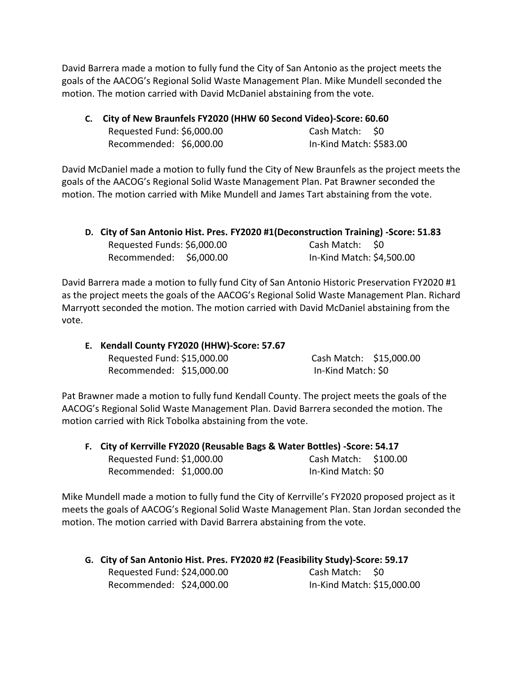David Barrera made a motion to fully fund the City of San Antonio as the project meets the goals of the AACOG's Regional Solid Waste Management Plan. Mike Mundell seconded the motion. The motion carried with David McDaniel abstaining from the vote.

**C. City of New Braunfels FY2020 (HHW 60 Second Video)-Score: 60.60**

| Requested Fund: \$6,000.00 | Cash Match: \$0         |  |
|----------------------------|-------------------------|--|
| Recommended: \$6,000.00    | In-Kind Match: \$583.00 |  |

David McDaniel made a motion to fully fund the City of New Braunfels as the project meets the goals of the AACOG's Regional Solid Waste Management Plan. Pat Brawner seconded the motion. The motion carried with Mike Mundell and James Tart abstaining from the vote.

|                             | D. City of San Antonio Hist. Pres. FY2020 #1(Deconstruction Training) -Score: 51.83 |  |
|-----------------------------|-------------------------------------------------------------------------------------|--|
| Requested Funds: \$6,000.00 | Cash Match: SO                                                                      |  |
| Recommended: \$6,000.00     | In-Kind Match: \$4,500.00                                                           |  |

David Barrera made a motion to fully fund City of San Antonio Historic Preservation FY2020 #1 as the project meets the goals of the AACOG's Regional Solid Waste Management Plan. Richard Marryott seconded the motion. The motion carried with David McDaniel abstaining from the vote.

**E. Kendall County FY2020 (HHW)-Score: 57.67** Requested Fund: \$15,000.00 Cash Match: \$15,000.00

Recommended: \$15,000.00 In-Kind Match: \$0

Pat Brawner made a motion to fully fund Kendall County. The project meets the goals of the AACOG's Regional Solid Waste Management Plan. David Barrera seconded the motion. The motion carried with Rick Tobolka abstaining from the vote.

| F. City of Kerrville FY2020 (Reusable Bags & Water Bottles) -Score: 54.17 |                      |  |
|---------------------------------------------------------------------------|----------------------|--|
| Requested Fund: \$1,000.00                                                | Cash Match: \$100.00 |  |
| Recommended: \$1,000.00                                                   | In-Kind Match: \$0   |  |

Mike Mundell made a motion to fully fund the City of Kerrville's FY2020 proposed project as it meets the goals of AACOG's Regional Solid Waste Management Plan. Stan Jordan seconded the motion. The motion carried with David Barrera abstaining from the vote.

| G. City of San Antonio Hist. Pres. FY2020 #2 (Feasibility Study)-Score: 59.17 |                            |
|-------------------------------------------------------------------------------|----------------------------|
| Requested Fund: \$24,000.00                                                   | Cash Match: \$0            |
| Recommended: \$24,000.00                                                      | In-Kind Match: \$15,000.00 |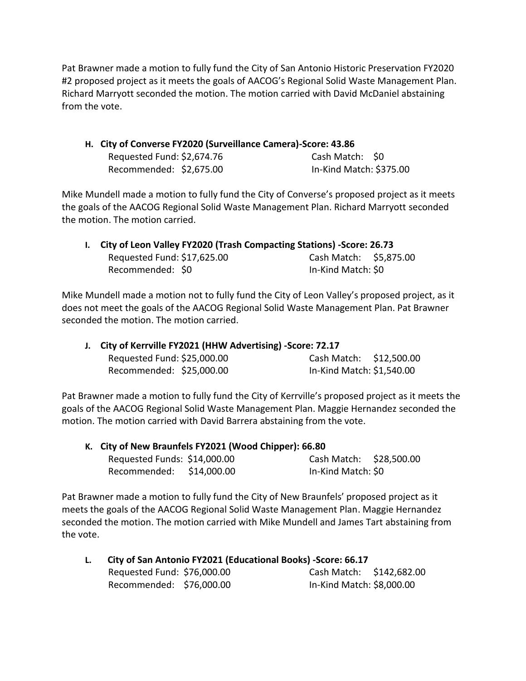Pat Brawner made a motion to fully fund the City of San Antonio Historic Preservation FY2020 #2 proposed project as it meets the goals of AACOG's Regional Solid Waste Management Plan. Richard Marryott seconded the motion. The motion carried with David McDaniel abstaining from the vote.

**H. City of Converse FY2020 (Surveillance Camera)-Score: 43.86** Requested Fund: \$2,674.76 Cash Match: \$0 Recommended: \$2,675.00 In-Kind Match: \$375.00

Mike Mundell made a motion to fully fund the City of Converse's proposed project as it meets the goals of the AACOG Regional Solid Waste Management Plan. Richard Marryott seconded the motion. The motion carried.

| I. City of Leon Valley FY2020 (Trash Compacting Stations) -Score: 26.73 |                             |                        |  |
|-------------------------------------------------------------------------|-----------------------------|------------------------|--|
|                                                                         | Requested Fund: \$17,625.00 | Cash Match: \$5,875.00 |  |
|                                                                         | Recommended: \$0            | In-Kind Match: \$0     |  |

Mike Mundell made a motion not to fully fund the City of Leon Valley's proposed project, as it does not meet the goals of the AACOG Regional Solid Waste Management Plan. Pat Brawner seconded the motion. The motion carried.

| J. City of Kerrville FY2021 (HHW Advertising) -Score: 72.17 |                             |                           |  |
|-------------------------------------------------------------|-----------------------------|---------------------------|--|
|                                                             | Requested Fund: \$25,000.00 | Cash Match: \$12,500.00   |  |
|                                                             | Recommended: \$25,000.00    | In-Kind Match: \$1,540.00 |  |

Pat Brawner made a motion to fully fund the City of Kerrville's proposed project as it meets the goals of the AACOG Regional Solid Waste Management Plan. Maggie Hernandez seconded the motion. The motion carried with David Barrera abstaining from the vote.

| K. City of New Braunfels FY2021 (Wood Chipper): 66.80 |  |                         |  |
|-------------------------------------------------------|--|-------------------------|--|
| Requested Funds: \$14,000.00                          |  | Cash Match: \$28,500.00 |  |
| Recommended: \$14,000.00                              |  | In-Kind Match: \$0      |  |

Pat Brawner made a motion to fully fund the City of New Braunfels' proposed project as it meets the goals of the AACOG Regional Solid Waste Management Plan. Maggie Hernandez seconded the motion. The motion carried with Mike Mundell and James Tart abstaining from the vote.

| L. | City of San Antonio FY2021 (Educational Books) -Score: 66.17 |  |                           |  |
|----|--------------------------------------------------------------|--|---------------------------|--|
|    | Requested Fund: \$76,000.00                                  |  | Cash Match: \$142,682.00  |  |
|    | Recommended: \$76,000.00                                     |  | In-Kind Match: \$8,000.00 |  |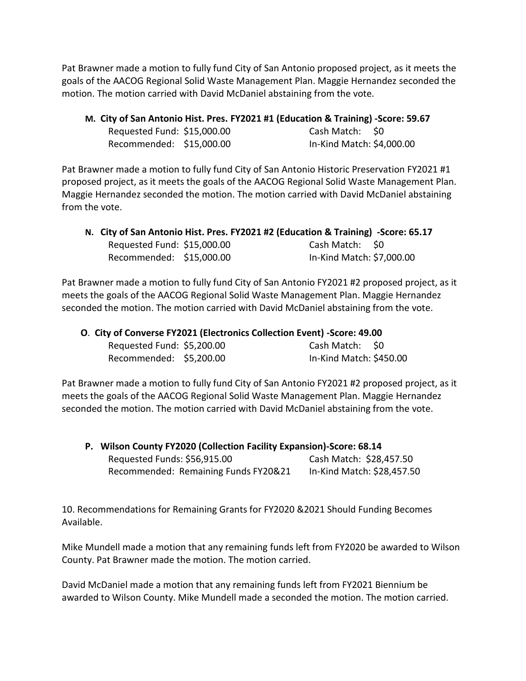Pat Brawner made a motion to fully fund City of San Antonio proposed project, as it meets the goals of the AACOG Regional Solid Waste Management Plan. Maggie Hernandez seconded the motion. The motion carried with David McDaniel abstaining from the vote.

| M. City of San Antonio Hist. Pres. FY2021 #1 (Education & Training) -Score: 59.67 |  |
|-----------------------------------------------------------------------------------|--|
|-----------------------------------------------------------------------------------|--|

| Requested Fund: \$15,000.00 | Cash Match: \$0           |
|-----------------------------|---------------------------|
| Recommended: \$15,000.00    | In-Kind Match: \$4,000.00 |

Pat Brawner made a motion to fully fund City of San Antonio Historic Preservation FY2021 #1 proposed project, as it meets the goals of the AACOG Regional Solid Waste Management Plan. Maggie Hernandez seconded the motion. The motion carried with David McDaniel abstaining from the vote.

|                             | N. City of San Antonio Hist. Pres. FY2021 #2 (Education & Training) -Score: 65.17 |                           |  |
|-----------------------------|-----------------------------------------------------------------------------------|---------------------------|--|
| Requested Fund: \$15,000.00 |                                                                                   | Cash Match: \$0           |  |
| Recommended: \$15,000.00    |                                                                                   | In-Kind Match: \$7,000.00 |  |

Pat Brawner made a motion to fully fund City of San Antonio FY2021 #2 proposed project, as it meets the goals of the AACOG Regional Solid Waste Management Plan. Maggie Hernandez seconded the motion. The motion carried with David McDaniel abstaining from the vote.

| O. City of Converse FY2021 (Electronics Collection Event) - Score: 49.00 |                         |
|--------------------------------------------------------------------------|-------------------------|
| Requested Fund: \$5,200.00                                               | Cash Match: \$0         |
| Recommended: \$5,200.00                                                  | In-Kind Match: \$450.00 |

Pat Brawner made a motion to fully fund City of San Antonio FY2021 #2 proposed project, as it meets the goals of the AACOG Regional Solid Waste Management Plan. Maggie Hernandez seconded the motion. The motion carried with David McDaniel abstaining from the vote.

| P. Wilson County FY2020 (Collection Facility Expansion)-Score: 68.14 |                            |  |
|----------------------------------------------------------------------|----------------------------|--|
| Requested Funds: \$56,915.00                                         | Cash Match: \$28,457.50    |  |
| Recommended: Remaining Funds FY20&21                                 | In-Kind Match: \$28,457.50 |  |

10. Recommendations for Remaining Grants for FY2020 &2021 Should Funding Becomes Available.

Mike Mundell made a motion that any remaining funds left from FY2020 be awarded to Wilson County. Pat Brawner made the motion. The motion carried.

David McDaniel made a motion that any remaining funds left from FY2021 Biennium be awarded to Wilson County. Mike Mundell made a seconded the motion. The motion carried.